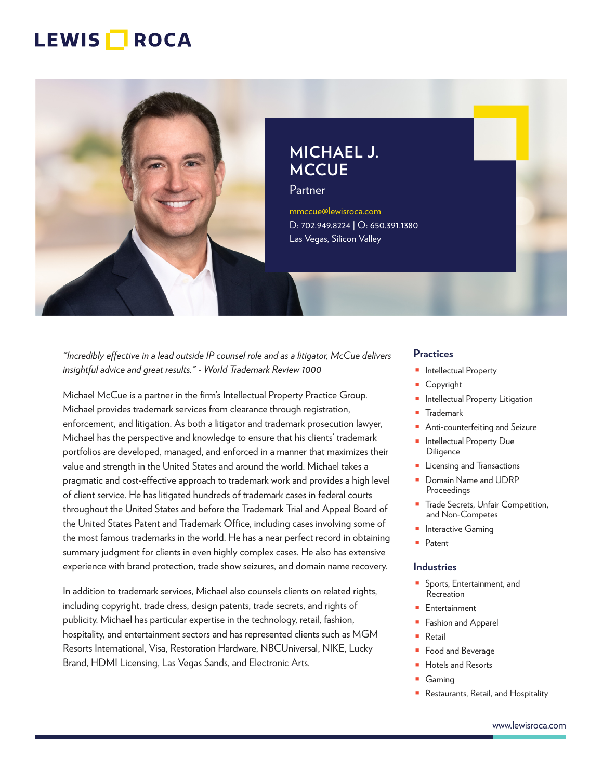

**MICHAEL J. MCCUE**

Partner

mmccue@lewisroca.com D: 702.949.8224 | O: 650.391.1380 Las Vegas, Silicon Valley

*"Incredibly effective in a lead outside IP counsel role and as a litigator, McCue delivers insightful advice and great results." - World Trademark Review 1000*

Michael McCue is a partner in the firm's Intellectual Property Practice Group. Michael provides trademark services from clearance through registration, enforcement, and litigation. As both a litigator and trademark prosecution lawyer, Michael has the perspective and knowledge to ensure that his clients' trademark portfolios are developed, managed, and enforced in a manner that maximizes their value and strength in the United States and around the world. Michael takes a pragmatic and cost-effective approach to trademark work and provides a high level of client service. He has litigated hundreds of trademark cases in federal courts throughout the United States and before the Trademark Trial and Appeal Board of the United States Patent and Trademark Office, including cases involving some of the most famous trademarks in the world. He has a near perfect record in obtaining summary judgment for clients in even highly complex cases. He also has extensive experience with brand protection, trade show seizures, and domain name recovery.

In addition to trademark services, Michael also counsels clients on related rights, including copyright, trade dress, design patents, trade secrets, and rights of publicity. Michael has particular expertise in the technology, retail, fashion, hospitality, and entertainment sectors and has represented clients such as MGM Resorts International, Visa, Restoration Hardware, NBCUniversal, NIKE, Lucky Brand, HDMI Licensing, Las Vegas Sands, and Electronic Arts.

#### **Practices**

- Intellectual Property
- **Copyright**
- Intellectual Property Litigation
- Trademark
- Anti-counterfeiting and Seizure
- Intellectual Property Due **Diligence**
- Licensing and Transactions
- Domain Name and UDRP Proceedings
- Trade Secrets, Unfair Competition, and Non-Competes
- Interactive Gaming
- Patent

#### **Industries**

- Sports, Entertainment, and Recreation
- Entertainment
- Fashion and Apparel
- **Retail**
- Food and Beverage
- Hotels and Resorts
- Gaming
- Restaurants, Retail, and Hospitality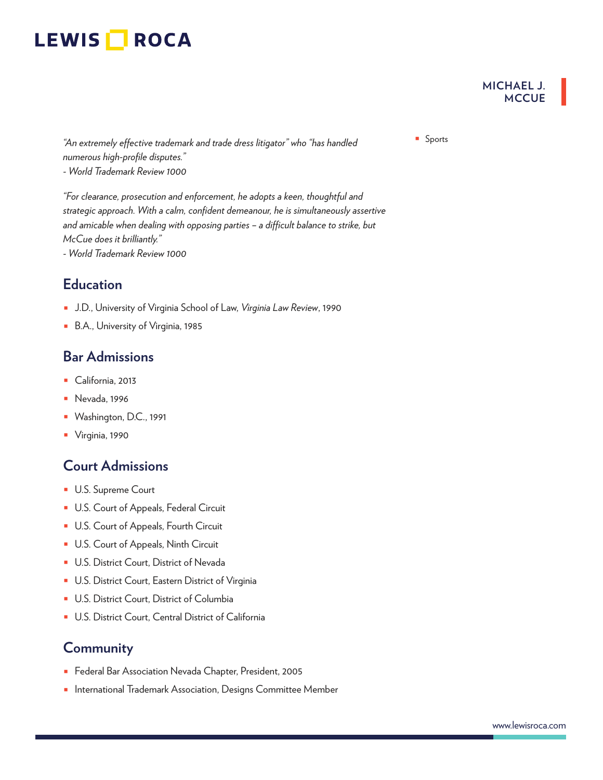**MICHAEL J. MCCUE**

■ Sports *"An extremely effective trademark and trade dress litigator" who "has handled numerous high-profile disputes." - World Trademark Review 1000*

*"For clearance, prosecution and enforcement, he adopts a keen, thoughtful and strategic approach. With a calm, confident demeanour, he is simultaneously assertive and amicable when dealing with opposing parties – a difficult balance to strike, but McCue does it brilliantly."*

*- World Trademark Review 1000*

## **Education**

- J.D., University of Virginia School of Law, *Virginia Law Review*, 1990
- B.A., University of Virginia, 1985

### **Bar Admissions**

- California, 2013
- Nevada, 1996
- Washington, D.C., 1991
- Virginia, 1990

### **Court Admissions**

- U.S. Supreme Court
- U.S. Court of Appeals, Federal Circuit
- U.S. Court of Appeals, Fourth Circuit
- U.S. Court of Appeals, Ninth Circuit
- U.S. District Court, District of Nevada
- U.S. District Court, Eastern District of Virginia
- U.S. District Court, District of Columbia
- U.S. District Court, Central District of California

### **Community**

- Federal Bar Association Nevada Chapter, President, 2005
- International Trademark Association, Designs Committee Member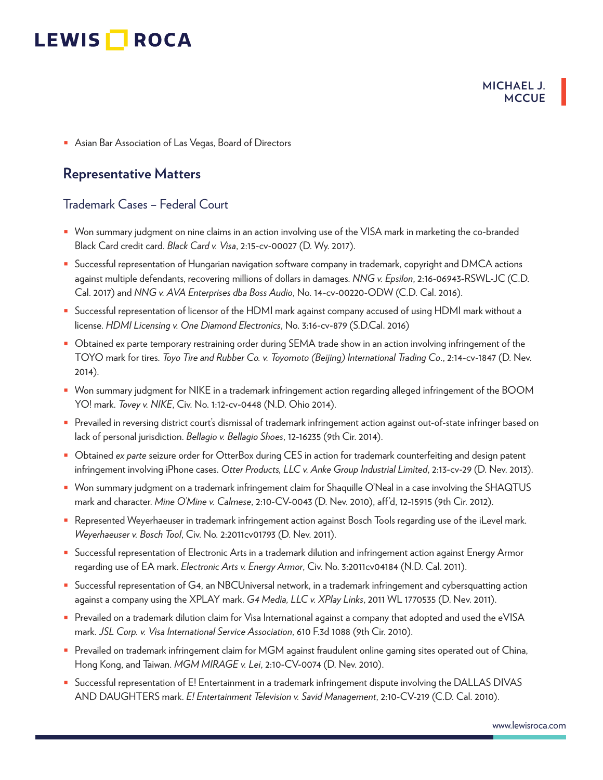#### **MICHAEL J. MCCUE**

■ Asian Bar Association of Las Vegas, Board of Directors

### **Representative Matters**

#### Trademark Cases – Federal Court

- Won summary judgment on nine claims in an action involving use of the VISA mark in marketing the co-branded Black Card credit card*. Black Card v. Visa*, 2:15-cv-00027 (D. Wy. 2017).
- Successful representation of Hungarian navigation software company in trademark, copyright and DMCA actions against multiple defendants, recovering millions of dollars in damages. *NNG v. Epsilon*, 2:16-06943-RSWL-JC (C.D. Cal. 2017) and *NNG v. AVA Enterprises dba Boss Audio*, No. 14-cv-00220-ODW (C.D. Cal. 2016).
- Successful representation of licensor of the HDMI mark against company accused of using HDMI mark without a license. *HDMI Licensing v. One Diamond Electronics*, No. 3:16-cv-879 (S.D.Cal. 2016)
- Obtained ex parte temporary restraining order during SEMA trade show in an action involving infringement of the TOYO mark for tires. *Toyo Tire and Rubber Co. v. Toyomoto (Beijing) International Trading Co*., 2:14-cv-1847 (D. Nev. 2014).
- Won summary judgment for NIKE in a trademark infringement action regarding alleged infringement of the BOOM YO! mark. *Tovey v. NIKE*, Civ. No. 1:12-cv-0448 (N.D. Ohio 2014).
- Prevailed in reversing district court's dismissal of trademark infringement action against out-of-state infringer based on lack of personal jurisdiction. *Bellagio v. Bellagio Shoes*, 12-16235 (9th Cir. 2014).
- Obtained *ex parte* seizure order for OtterBox during CES in action for trademark counterfeiting and design patent infringement involving iPhone cases. *Otter Products, LLC v. Anke Group Industrial Limited*, 2:13-cv-29 (D. Nev. 2013).
- Won summary judgment on a trademark infringement claim for Shaquille O'Neal in a case involving the SHAQTUS mark and character. *Mine O'Mine v. Calmese*, 2:10-CV-0043 (D. Nev. 2010), aff'd, 12-15915 (9th Cir. 2012).
- Represented Weyerhaeuser in trademark infringement action against Bosch Tools regarding use of the iLevel mark. *Weyerhaeuser v. Bosch Tool*, Civ. No. 2:2011cv01793 (D. Nev. 2011).
- Successful representation of Electronic Arts in a trademark dilution and infringement action against Energy Armor regarding use of EA mark. *Electronic Arts v. Energy Armor*, Civ. No. 3:2011cv04184 (N.D. Cal. 2011).
- Successful representation of G4, an NBCUniversal network, in a trademark infringement and cybersquatting action against a company using the XPLAY mark. *G4 Media, LLC v. XPlay Links*, 2011 WL 1770535 (D. Nev. 2011).
- Prevailed on a trademark dilution claim for Visa International against a company that adopted and used the eVISA mark. *JSL Corp. v. Visa International Service Association*, 610 F.3d 1088 (9th Cir. 2010).
- Prevailed on trademark infringement claim for MGM against fraudulent online gaming sites operated out of China, Hong Kong, and Taiwan. *MGM MIRAGE v. Lei*, 2:10-CV-0074 (D. Nev. 2010).
- Successful representation of E! Entertainment in a trademark infringement dispute involving the DALLAS DIVAS AND DAUGHTERS mark. *E! Entertainment Television v. Savid Management*, 2:10-CV-219 (C.D. Cal. 2010).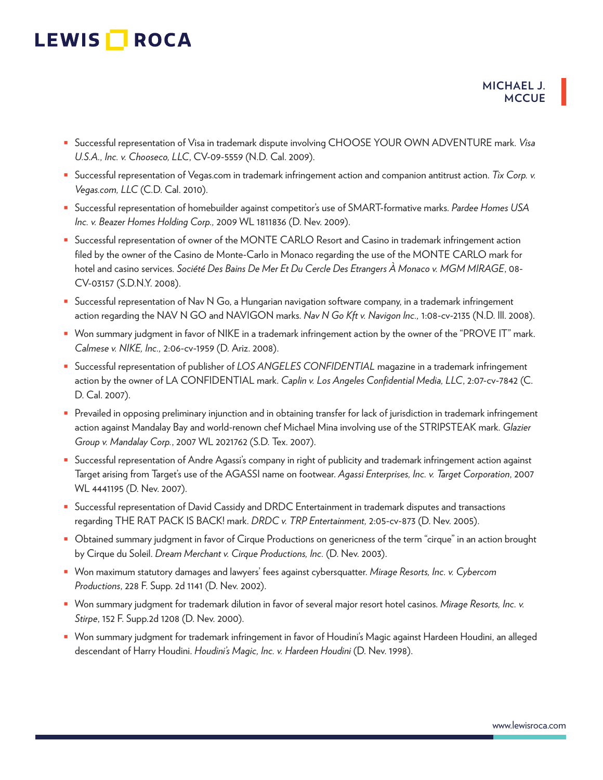- Successful representation of Visa in trademark dispute involving CHOOSE YOUR OWN ADVENTURE mark. *Visa U.S.A., Inc. v. Chooseco, LLC*, CV-09-5559 (N.D. Cal. 2009).
- Successful representation of Vegas.com in trademark infringement action and companion antitrust action. *Tix Corp. v. Vegas.com, LLC* (C.D. Cal. 2010).
- Successful representation of homebuilder against competitor's use of SMART-formative marks. *Pardee Homes USA Inc. v. Beazer Homes Holding Corp.,* 2009 WL 1811836 (D. Nev. 2009).
- Successful representation of owner of the MONTE CARLO Resort and Casino in trademark infringement action filed by the owner of the Casino de Monte-Carlo in Monaco regarding the use of the MONTE CARLO mark for hotel and casino services. *Société Des Bains De Mer Et Du Cercle Des Etrangers À Monaco v. MGM MIRAGE*, 08- CV-03157 (S.D.N.Y. 2008).
- Successful representation of Nav N Go, a Hungarian navigation software company, in a trademark infringement action regarding the NAV N GO and NAVIGON marks. *Nav N Go Kft v. Navigon Inc.,* 1:08-cv-2135 (N.D. Ill. 2008).
- Won summary judgment in favor of NIKE in a trademark infringement action by the owner of the "PROVE IT" mark. *Calmese v. NIKE, Inc.,* 2:06-cv-1959 (D. Ariz. 2008).
- Successful representation of publisher of *LOS ANGELES CONFIDENTIAL* magazine in a trademark infringement action by the owner of LA CONFIDENTIAL mark. *Caplin v. Los Angeles Confidential Media, LLC*, 2:07-cv-7842 (C. D. Cal. 2007).
- Prevailed in opposing preliminary injunction and in obtaining transfer for lack of jurisdiction in trademark infringement action against Mandalay Bay and world-renown chef Michael Mina involving use of the STRIPSTEAK mark. *Glazier Group v. Mandalay Corp.*, 2007 WL 2021762 (S.D. Tex. 2007).
- Successful representation of Andre Agassi's company in right of publicity and trademark infringement action against Target arising from Target's use of the AGASSI name on footwear. *Agassi Enterprises, Inc. v. Target Corporation*, 2007 WL 4441195 (D. Nev. 2007).
- Successful representation of David Cassidy and DRDC Entertainment in trademark disputes and transactions regarding THE RAT PACK IS BACK! mark. *DRDC v. TRP Entertainment,* 2:05-cv-873 (D. Nev. 2005).
- Obtained summary judgment in favor of Cirque Productions on genericness of the term "cirque" in an action brought by Cirque du Soleil. *Dream Merchant v. Cirque Productions, Inc.* (D. Nev. 2003).
- Won maximum statutory damages and lawyers' fees against cybersquatter. *Mirage Resorts, Inc. v. Cybercom Productions*, 228 F. Supp. 2d 1141 (D. Nev. 2002).
- Won summary judgment for trademark dilution in favor of several major resort hotel casinos. *Mirage Resorts, Inc. v. Stirpe*, 152 F. Supp.2d 1208 (D. Nev. 2000).
- Won summary judgment for trademark infringement in favor of Houdini's Magic against Hardeen Houdini, an alleged descendant of Harry Houdini. *Houdini's Magic, Inc. v. Hardeen Houdini* (D. Nev. 1998).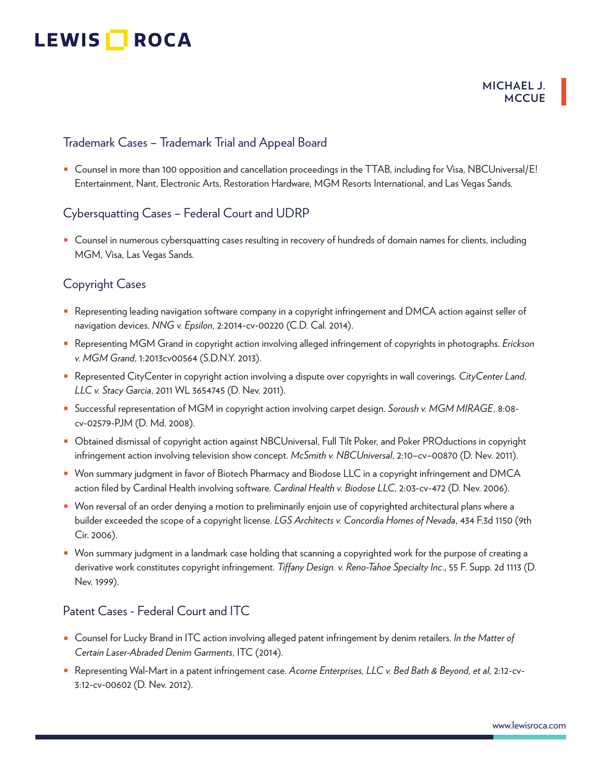#### **MICHAEL J. MCCUE**

### Trademark Cases – Trademark Trial and Appeal Board

■ Counsel in more than 100 opposition and cancellation proceedings in the TTAB, including for Visa, NBCUniversal/E! Entertainment, Nant, Electronic Arts, Restoration Hardware, MGM Resorts International, and Las Vegas Sands.

### Cybersquatting Cases – Federal Court and UDRP

■ Counsel in numerous cybersquatting cases resulting in recovery of hundreds of domain names for clients, including MGM, Visa, Las Vegas Sands.

#### Copyright Cases

- Representing leading navigation software company in a copyright infringement and DMCA action against seller of navigation devices. *NNG v. Epsilon*, 2:2014-cv-00220 (C.D. Cal. 2014).
- Representing MGM Grand in copyright action involving alleged infringement of copyrights in photographs. *Erickson v. MGM Grand*, 1:2013cv00564 (S.D.N.Y. 2013).
- Represented CityCenter in copyright action involving a dispute over copyrights in wall coverings. *CityCenter Land, LLC v. Stacy Garcia*, 2011 WL 3654745 (D. Nev. 2011).
- Successful representation of MGM in copyright action involving carpet design. *Soroush v. MGM MIRAGE*, 8:08 cv-02579-PJM (D. Md. 2008).
- Obtained dismissal of copyright action against NBCUniversal, Full Tilt Poker, and Poker PROductions in copyright infringement action involving television show concept. *McSmith v. NBCUniversal*, 2:10–cv–00870 (D. Nev. 2011).
- Won summary judgment in favor of Biotech Pharmacy and Biodose LLC in a copyright infringement and DMCA action filed by Cardinal Health involving software. *Cardinal Health v. Biodose LLC,* 2:03-cv-472 (D. Nev. 2006).
- Won reversal of an order denying a motion to preliminarily enjoin use of copyrighted architectural plans where a builder exceeded the scope of a copyright license. *LGS Architects v. Concordia Homes of Nevada*, 434 F.3d 1150 (9th Cir. 2006).
- Won summary judgment in a landmark case holding that scanning a copyrighted work for the purpose of creating a derivative work constitutes copyright infringement. *Tiffany Design. v. Reno-Tahoe Specialty Inc*., 55 F. Supp. 2d 1113 (D. Nev. 1999).

#### Patent Cases - Federal Court and ITC

- Counsel for Lucky Brand in ITC action involving alleged patent infringement by denim retailers. *In the Matter of Certain Laser-Abraded Denim Garments*, ITC (2014).
- Representing Wal-Mart in a patent infringement case. *Acorne Enterprises, LLC v. Bed Bath & Beyond, et al,* 2:12-cv-3:12-cv-00602 (D. Nev. 2012).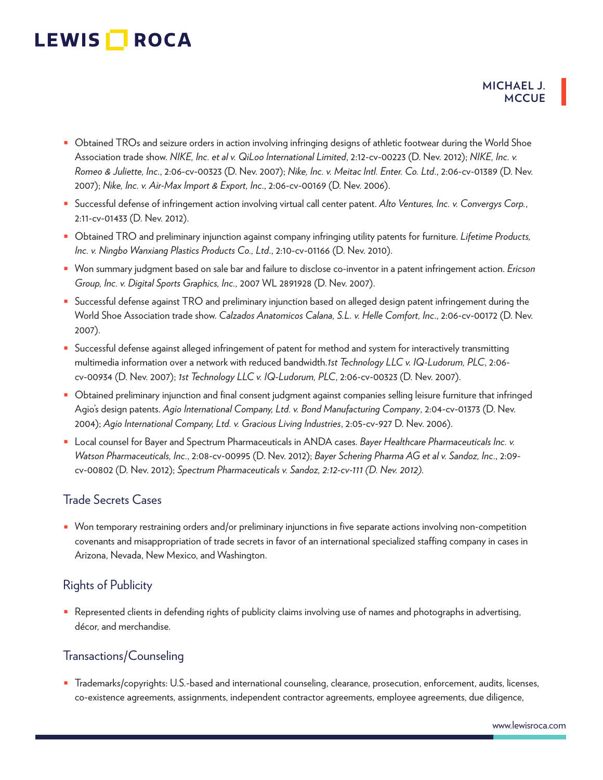- Obtained TROs and seizure orders in action involving infringing designs of athletic footwear during the World Shoe Association trade show. *NIKE, Inc. et al v. QiLoo International Limited*, 2:12-cv-00223 (D. Nev. 2012); *NIKE, Inc. v. Romeo & Juliette, Inc*., 2:06-cv-00323 (D. Nev. 2007); *Nike, Inc. v. Meitac Intl. Enter. Co. Ltd*., 2:06-cv-01389 (D. Nev. 2007); *Nike, Inc. v. Air-Max Import & Export, Inc*., 2:06-cv-00169 (D. Nev. 2006).
- Successful defense of infringement action involving virtual call center patent. *Alto Ventures, Inc. v. Convergys Corp.*, 2:11-cv-01433 (D. Nev. 2012).
- Obtained TRO and preliminary injunction against company infringing utility patents for furniture. *Lifetime Products, Inc. v. Ningbo Wanxiang Plastics Products Co., Ltd*., 2:10-cv-01166 (D. Nev. 2010).
- Won summary judgment based on sale bar and failure to disclose co-inventor in a patent infringement action. *Ericson Group, Inc. v. Digital Sports Graphics, Inc.,* 2007 WL 2891928 (D. Nev. 2007).
- Successful defense against TRO and preliminary injunction based on alleged design patent infringement during the World Shoe Association trade show. *Calzados Anatomicos Calana, S.L. v. Helle Comfort, Inc*., 2:06-cv-00172 (D. Nev. 2007).
- Successful defense against alleged infringement of patent for method and system for interactively transmitting multimedia information over a network with reduced bandwidth.*1st Technology LLC v. IQ-Ludorum, PLC*, 2:06 cv-00934 (D. Nev. 2007); *1st Technology LLC v. IQ-Ludorum, PLC*, 2:06-cv-00323 (D. Nev. 2007).
- Obtained preliminary injunction and final consent judgment against companies selling leisure furniture that infringed Agio's design patents. *Agio International Company, Ltd. v. Bond Manufacturing Company*, 2:04-cv-01373 (D. Nev. 2004); *Agio International Company, Ltd. v. Gracious Living Industries*, 2:05-cv-927 D. Nev. 2006).
- Local counsel for Bayer and Spectrum Pharmaceuticals in ANDA cases. *Bayer Healthcare Pharmaceuticals Inc. v. Watson Pharmaceuticals, Inc*., 2:08-cv-00995 (D. Nev. 2012); *Bayer Schering Pharma AG et al v. Sandoz, Inc*., 2:09 cv-00802 (D. Nev. 2012); *Spectrum Pharmaceuticals v. Sandoz, 2:12-cv-111 (D. Nev. 2012).*

### Trade Secrets Cases

■ Won temporary restraining orders and/or preliminary injunctions in five separate actions involving non-competition covenants and misappropriation of trade secrets in favor of an international specialized staffing company in cases in Arizona, Nevada, New Mexico, and Washington.

#### Rights of Publicity

■ Represented clients in defending rights of publicity claims involving use of names and photographs in advertising, décor, and merchandise.

#### Transactions/Counseling

■ Trademarks/copyrights: U.S.-based and international counseling, clearance, prosecution, enforcement, audits, licenses, co-existence agreements, assignments, independent contractor agreements, employee agreements, due diligence,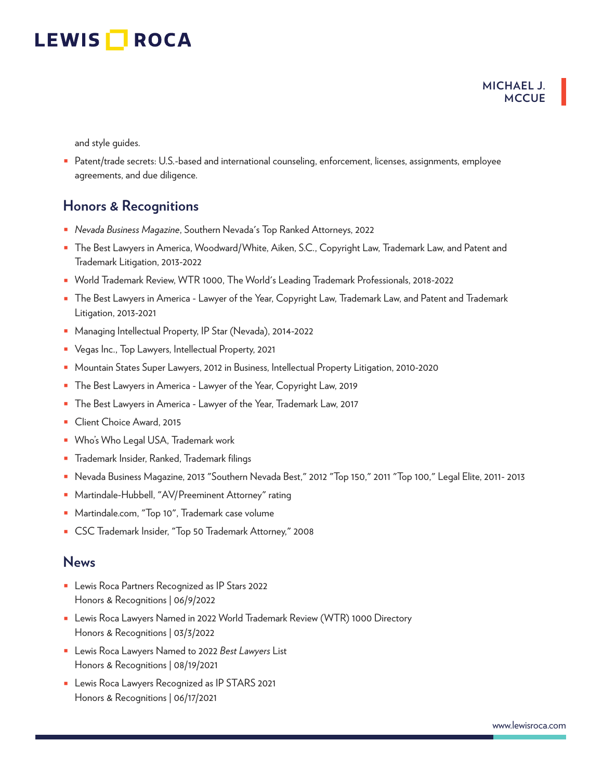#### **MICHAEL J. MCCUE**

and style guides.

■ Patent/trade secrets: U.S.-based and international counseling, enforcement, licenses, assignments, employee agreements, and due diligence.

### **Honors & Recognitions**

- *Nevada Business Magazine*, Southern Nevada's Top Ranked Attorneys, 2022
- The Best Lawyers in America, Woodward/White, Aiken, S.C., Copyright Law, Trademark Law, and Patent and Trademark Litigation, 2013-2022
- World Trademark Review, WTR 1000, The World's Leading Trademark Professionals, 2018-2022
- The Best Lawyers in America Lawyer of the Year, Copyright Law, Trademark Law, and Patent and Trademark Litigation, 2013-2021
- Managing Intellectual Property, IP Star (Nevada), 2014-2022
- Vegas Inc., Top Lawyers, Intellectual Property, 2021
- Mountain States Super Lawyers, 2012 in Business, Intellectual Property Litigation, 2010-2020
- The Best Lawyers in America Lawyer of the Year, Copyright Law, 2019
- The Best Lawyers in America Lawyer of the Year, Trademark Law, 2017
- Client Choice Award, 2015
- Who's Who Legal USA, Trademark work
- Trademark Insider, Ranked, Trademark filings
- Nevada Business Magazine, 2013 "Southern Nevada Best," 2012 "Top 150," 2011 "Top 100," Legal Elite, 2011- 2013
- Martindale-Hubbell, "AV/Preeminent Attorney" rating
- Martindale.com, "Top 10", Trademark case volume
- CSC Trademark Insider, "Top 50 Trademark Attorney," 2008

#### **News**

- Lewis Roca Partners Recognized as IP Stars 2022 Honors & Recognitions | 06/9/2022
- Lewis Roca Lawyers Named in 2022 World Trademark Review (WTR) 1000 Directory Honors & Recognitions | 03/3/2022
- Lewis Roca Lawyers Named to 2022 *Best Lawyers* List Honors & Recognitions | 08/19/2021
- Lewis Roca Lawyers Recognized as IP STARS 2021 Honors & Recognitions | 06/17/2021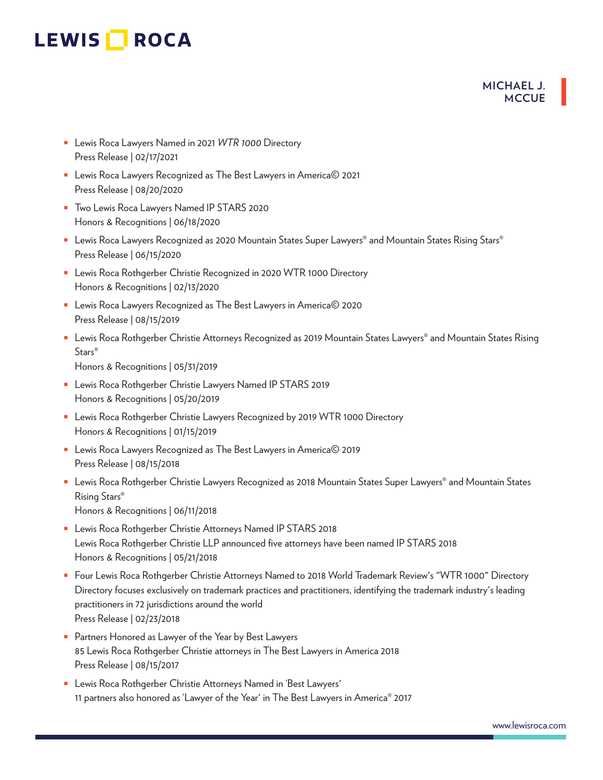#### **MICHAEL J. MCCUE**

- Lewis Roca Lawyers Named in 2021 WTR 1000 Directory Press Release | 02/17/2021
- Lewis Roca Lawyers Recognized as The Best Lawyers in America© 2021 Press Release | 08/20/2020
- Two Lewis Roca Lawyers Named IP STARS 2020 Honors & Recognitions | 06/18/2020
- Lewis Roca Lawyers Recognized as 2020 Mountain States Super Lawyers® and Mountain States Rising Stars® Press Release | 06/15/2020
- Lewis Roca Rothgerber Christie Recognized in 2020 WTR 1000 Directory Honors & Recognitions | 02/13/2020
- Lewis Roca Lawyers Recognized as The Best Lawyers in America© 2020 Press Release | 08/15/2019
- Lewis Roca Rothgerber Christie Attorneys Recognized as 2019 Mountain States Lawyers® and Mountain States Rising Stars®

Honors & Recognitions | 05/31/2019

- Lewis Roca Rothgerber Christie Lawyers Named IP STARS 2019 Honors & Recognitions | 05/20/2019
- Lewis Roca Rothgerber Christie Lawyers Recognized by 2019 WTR 1000 Directory Honors & Recognitions | 01/15/2019
- Lewis Roca Lawyers Recognized as The Best Lawyers in America© 2019 Press Release | 08/15/2018
- Lewis Roca Rothgerber Christie Lawyers Recognized as 2018 Mountain States Super Lawyers® and Mountain States Rising Stars®
	- Honors & Recognitions | 06/11/2018
- Lewis Roca Rothgerber Christie Attorneys Named IP STARS 2018 Lewis Roca Rothgerber Christie LLP announced five attorneys have been named IP STARS 2018 Honors & Recognitions | 05/21/2018
- Four Lewis Roca Rothgerber Christie Attorneys Named to 2018 World Trademark Review's "WTR 1000" Directory Directory focuses exclusively on trademark practices and practitioners, identifying the trademark industry's leading practitioners in 72 jurisdictions around the world Press Release | 02/23/2018
- Partners Honored as Lawyer of the Year by Best Lawyers 85 Lewis Roca Rothgerber Christie attorneys in The Best Lawyers in America 2018 Press Release | 08/15/2017
- Lewis Roca Rothgerber Christie Attorneys Named in 'Best Lawyers' 11 partners also honored as 'Lawyer of the Year' in The Best Lawyers in America® 2017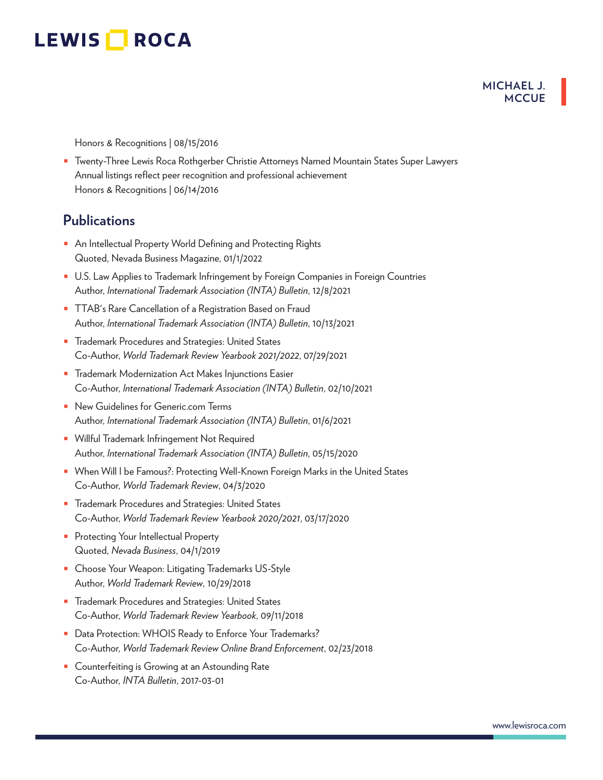#### **MICHAEL J. MCCUE**

Honors & Recognitions | 08/15/2016

■ Twenty-Three Lewis Roca Rothgerber Christie Attorneys Named Mountain States Super Lawyers Annual listings reflect peer recognition and professional achievement Honors & Recognitions | 06/14/2016

### **Publications**

- An Intellectual Property World Defining and Protecting Rights Quoted, Nevada Business Magazine, 01/1/2022
- U.S. Law Applies to Trademark Infringement by Foreign Companies in Foreign Countries Author, *International Trademark Association (INTA) Bulletin*, 12/8/2021
- TTAB's Rare Cancellation of a Registration Based on Fraud Author, *International Trademark Association (INTA) Bulletin*, 10/13/2021
- Trademark Procedures and Strategies: United States Co-Author, *World Trademark Review Yearbook 2021/2022*, 07/29/2021
- Trademark Modernization Act Makes Injunctions Easier Co-Author, *International Trademark Association (INTA) Bulletin*, 02/10/2021
- New Guidelines for Generic.com Terms Author, *International Trademark Association (INTA) Bulletin*, 01/6/2021
- Willful Trademark Infringement Not Required Author, *International Trademark Association (INTA) Bulletin*, 05/15/2020
- When Will I be Famous?: Protecting Well-Known Foreign Marks in the United States Co-Author, *World Trademark Review*, 04/3/2020
- Trademark Procedures and Strategies: United States Co-Author, *World Trademark Review Yearbook 2020/2021*, 03/17/2020
- Protecting Your Intellectual Property Quoted, *Nevada Business*, 04/1/2019
- Choose Your Weapon: Litigating Trademarks US-Style Author, *World Trademark Review*, 10/29/2018
- Trademark Procedures and Strategies: United States Co-Author, *World Trademark Review Yearbook*, 09/11/2018
- Data Protection: WHOIS Ready to Enforce Your Trademarks? Co-Author, *World Trademark Review Online Brand Enforcement*, 02/23/2018
- Counterfeiting is Growing at an Astounding Rate Co-Author, *INTA Bulletin*, 2017-03-01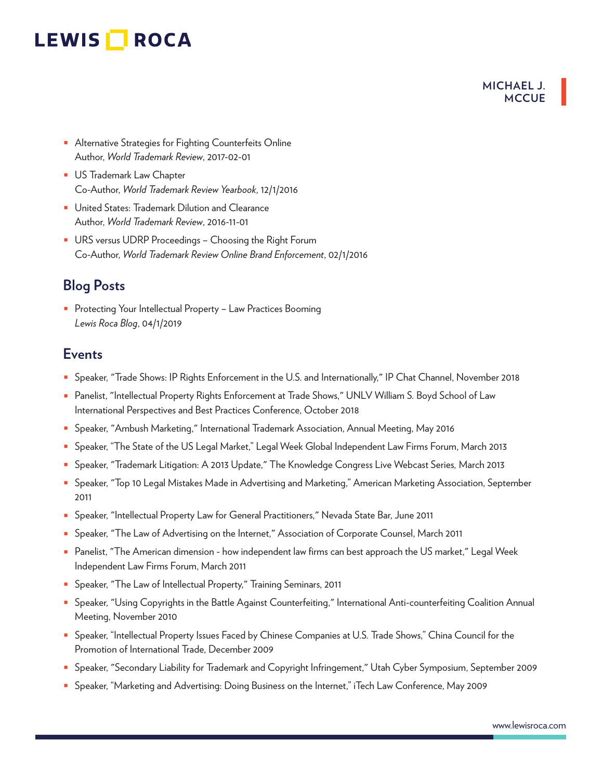#### **MICHAEL J. MCCUE**

- Alternative Strategies for Fighting Counterfeits Online Author, *World Trademark Review*, 2017-02-01
- US Trademark Law Chapter Co-Author, *World Trademark Review Yearbook*, 12/1/2016
- United States: Trademark Dilution and Clearance Author, *World Trademark Review*, 2016-11-01
- URS versus UDRP Proceedings Choosing the Right Forum Co-Author, *World Trademark Review Online Brand Enforcement*, 02/1/2016

## **Blog Posts**

■ Protecting Your Intellectual Property – Law Practices Booming *Lewis Roca Blog*, 04/1/2019

### **Events**

- Speaker, "Trade Shows: IP Rights Enforcement in the U.S. and Internationally," IP Chat Channel, November 2018
- Panelist, "Intellectual Property Rights Enforcement at Trade Shows," UNLV William S. Boyd School of Law International Perspectives and Best Practices Conference, October 2018
- Speaker, "Ambush Marketing," International Trademark Association, Annual Meeting, May 2016
- Speaker, "The State of the US Legal Market," Legal Week Global Independent Law Firms Forum, March 2013
- Speaker, "Trademark Litigation: A 2013 Update," The Knowledge Congress Live Webcast Series*,* March 2013
- Speaker, "Top 10 Legal Mistakes Made in Advertising and Marketing," American Marketing Association, September 2011
- Speaker, "Intellectual Property Law for General Practitioners," Nevada State Bar, June 2011
- Speaker, "The Law of Advertising on the Internet," Association of Corporate Counsel, March 2011
- Panelist, "The American dimension how independent law firms can best approach the US market," Legal Week Independent Law Firms Forum, March 2011
- Speaker, "The Law of Intellectual Property," Training Seminars, 2011
- Speaker, "Using Copyrights in the Battle Against Counterfeiting," International Anti-counterfeiting Coalition Annual Meeting, November 2010
- Speaker, "Intellectual Property Issues Faced by Chinese Companies at U.S. Trade Shows," China Council for the Promotion of International Trade, December 2009
- Speaker, "Secondary Liability for Trademark and Copyright Infringement," Utah Cyber Symposium, September 2009
- Speaker, "Marketing and Advertising: Doing Business on the Internet," iTech Law Conference, May 2009